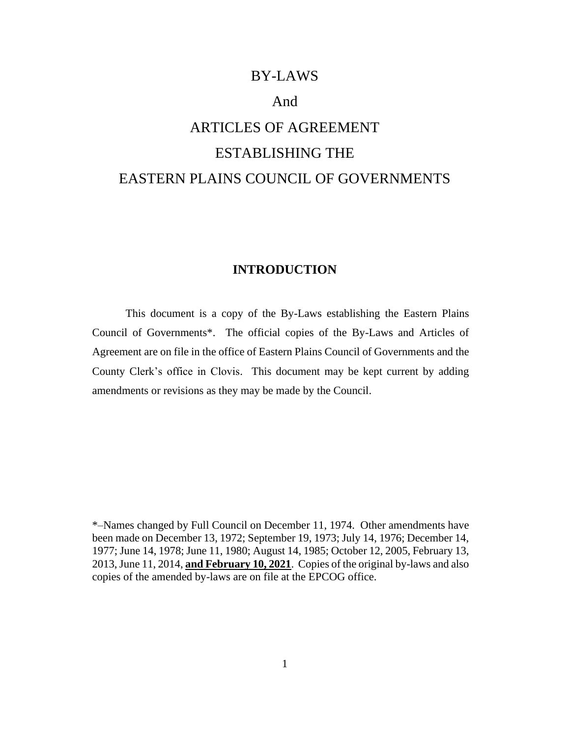# BY-LAWS

# And

# ARTICLES OF AGREEMENT ESTABLISHING THE EASTERN PLAINS COUNCIL OF GOVERNMENTS

# **INTRODUCTION**

This document is a copy of the By-Laws establishing the Eastern Plains Council of Governments\*. The official copies of the By-Laws and Articles of Agreement are on file in the office of Eastern Plains Council of Governments and the County Clerk's office in Clovis. This document may be kept current by adding amendments or revisions as they may be made by the Council.

\*–Names changed by Full Council on December 11, 1974. Other amendments have been made on December 13, 1972; September 19, 1973; July 14, 1976; December 14, 1977; June 14, 1978; June 11, 1980; August 14, 1985; October 12, 2005, February 13, 2013, June 11, 2014, **and February 10, 2021**. Copies of the original by-laws and also copies of the amended by-laws are on file at the EPCOG office.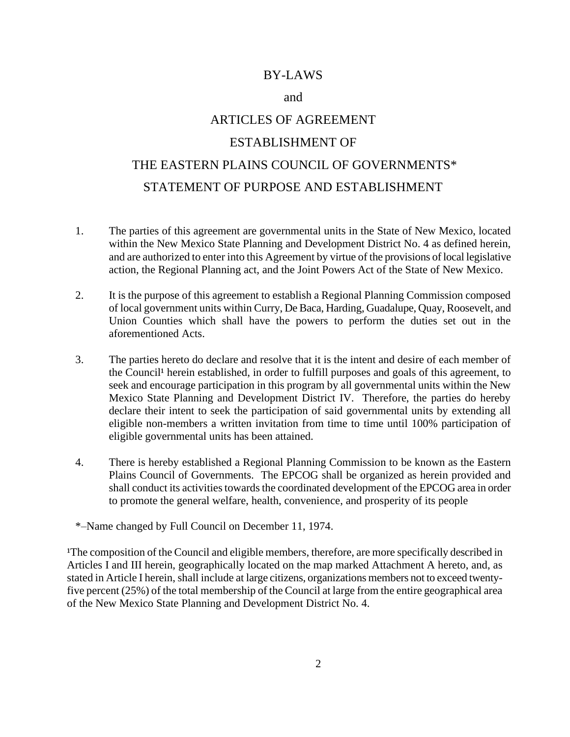# BY-LAWS

#### and

# ARTICLES OF AGREEMENT

# ESTABLISHMENT OF

# THE EASTERN PLAINS COUNCIL OF GOVERNMENTS\* STATEMENT OF PURPOSE AND ESTABLISHMENT

- 1. The parties of this agreement are governmental units in the State of New Mexico, located within the New Mexico State Planning and Development District No. 4 as defined herein, and are authorized to enter into this Agreement by virtue of the provisions of local legislative action, the Regional Planning act, and the Joint Powers Act of the State of New Mexico.
- 2. It is the purpose of this agreement to establish a Regional Planning Commission composed of local government units within Curry, De Baca, Harding, Guadalupe, Quay, Roosevelt, and Union Counties which shall have the powers to perform the duties set out in the aforementioned Acts.
- 3. The parties hereto do declare and resolve that it is the intent and desire of each member of the Council<sup>1</sup> herein established, in order to fulfill purposes and goals of this agreement, to seek and encourage participation in this program by all governmental units within the New Mexico State Planning and Development District IV. Therefore, the parties do hereby declare their intent to seek the participation of said governmental units by extending all eligible non-members a written invitation from time to time until 100% participation of eligible governmental units has been attained.
- 4. There is hereby established a Regional Planning Commission to be known as the Eastern Plains Council of Governments. The EPCOG shall be organized as herein provided and shall conduct its activities towards the coordinated development of the EPCOG area in order to promote the general welfare, health, convenience, and prosperity of its people

\*–Name changed by Full Council on December 11, 1974.

<sup>1</sup>The composition of the Council and eligible members, therefore, are more specifically described in Articles I and III herein, geographically located on the map marked Attachment A hereto, and, as stated in Article I herein, shall include at large citizens, organizations members not to exceed twentyfive percent (25%) of the total membership of the Council at large from the entire geographical area of the New Mexico State Planning and Development District No. 4.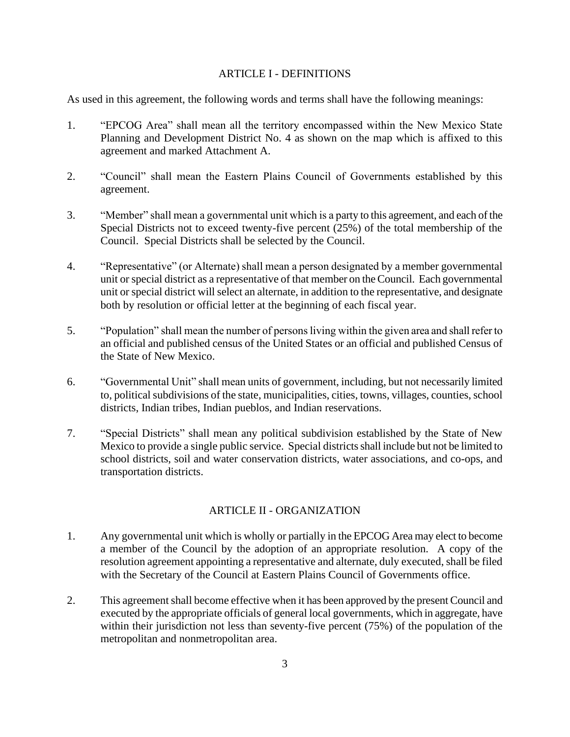#### ARTICLE I - DEFINITIONS

As used in this agreement, the following words and terms shall have the following meanings:

- 1. "EPCOG Area" shall mean all the territory encompassed within the New Mexico State Planning and Development District No. 4 as shown on the map which is affixed to this agreement and marked Attachment A.
- 2. "Council" shall mean the Eastern Plains Council of Governments established by this agreement.
- 3. "Member" shall mean a governmental unit which is a party to this agreement, and each of the Special Districts not to exceed twenty-five percent (25%) of the total membership of the Council. Special Districts shall be selected by the Council.
- 4. "Representative" (or Alternate) shall mean a person designated by a member governmental unit or special district as a representative of that member on the Council. Each governmental unit or special district will select an alternate, in addition to the representative, and designate both by resolution or official letter at the beginning of each fiscal year.
- 5. "Population" shall mean the number of persons living within the given area and shall refer to an official and published census of the United States or an official and published Census of the State of New Mexico.
- 6. "Governmental Unit" shall mean units of government, including, but not necessarily limited to, political subdivisions of the state, municipalities, cities, towns, villages, counties, school districts, Indian tribes, Indian pueblos, and Indian reservations.
- 7. "Special Districts" shall mean any political subdivision established by the State of New Mexico to provide a single public service. Special districts shall include but not be limited to school districts, soil and water conservation districts, water associations, and co-ops, and transportation districts.

# ARTICLE II - ORGANIZATION

- 1. Any governmental unit which is wholly or partially in the EPCOG Area may elect to become a member of the Council by the adoption of an appropriate resolution. A copy of the resolution agreement appointing a representative and alternate, duly executed, shall be filed with the Secretary of the Council at Eastern Plains Council of Governments office.
- 2. This agreement shall become effective when it has been approved by the present Council and executed by the appropriate officials of general local governments, which in aggregate, have within their jurisdiction not less than seventy-five percent (75%) of the population of the metropolitan and nonmetropolitan area.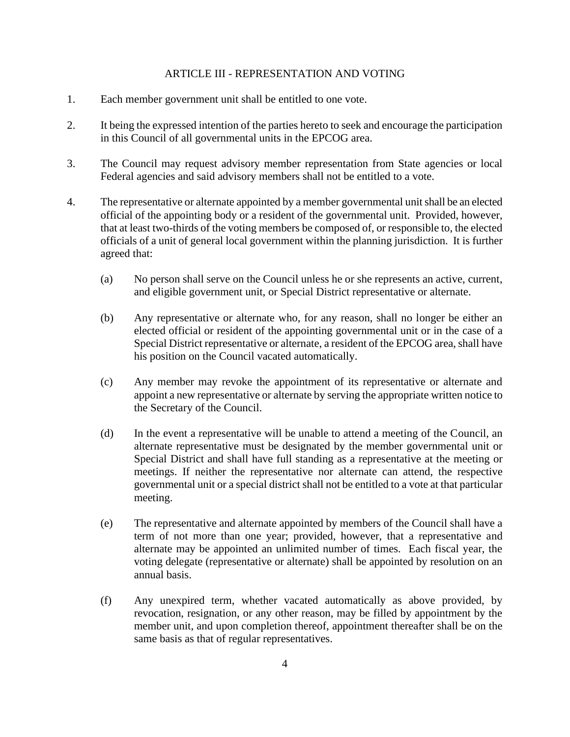#### ARTICLE III - REPRESENTATION AND VOTING

- 1. Each member government unit shall be entitled to one vote.
- 2. It being the expressed intention of the parties hereto to seek and encourage the participation in this Council of all governmental units in the EPCOG area.
- 3. The Council may request advisory member representation from State agencies or local Federal agencies and said advisory members shall not be entitled to a vote.
- 4. The representative or alternate appointed by a member governmental unit shall be an elected official of the appointing body or a resident of the governmental unit. Provided, however, that at least two-thirds of the voting members be composed of, or responsible to, the elected officials of a unit of general local government within the planning jurisdiction. It is further agreed that:
	- (a) No person shall serve on the Council unless he or she represents an active, current, and eligible government unit, or Special District representative or alternate.
	- (b) Any representative or alternate who, for any reason, shall no longer be either an elected official or resident of the appointing governmental unit or in the case of a Special District representative or alternate, a resident of the EPCOG area, shall have his position on the Council vacated automatically.
	- (c) Any member may revoke the appointment of its representative or alternate and appoint a new representative or alternate by serving the appropriate written notice to the Secretary of the Council.
	- (d) In the event a representative will be unable to attend a meeting of the Council, an alternate representative must be designated by the member governmental unit or Special District and shall have full standing as a representative at the meeting or meetings. If neither the representative nor alternate can attend, the respective governmental unit or a special district shall not be entitled to a vote at that particular meeting.
	- (e) The representative and alternate appointed by members of the Council shall have a term of not more than one year; provided, however, that a representative and alternate may be appointed an unlimited number of times. Each fiscal year, the voting delegate (representative or alternate) shall be appointed by resolution on an annual basis.
	- (f) Any unexpired term, whether vacated automatically as above provided, by revocation, resignation, or any other reason, may be filled by appointment by the member unit, and upon completion thereof, appointment thereafter shall be on the same basis as that of regular representatives.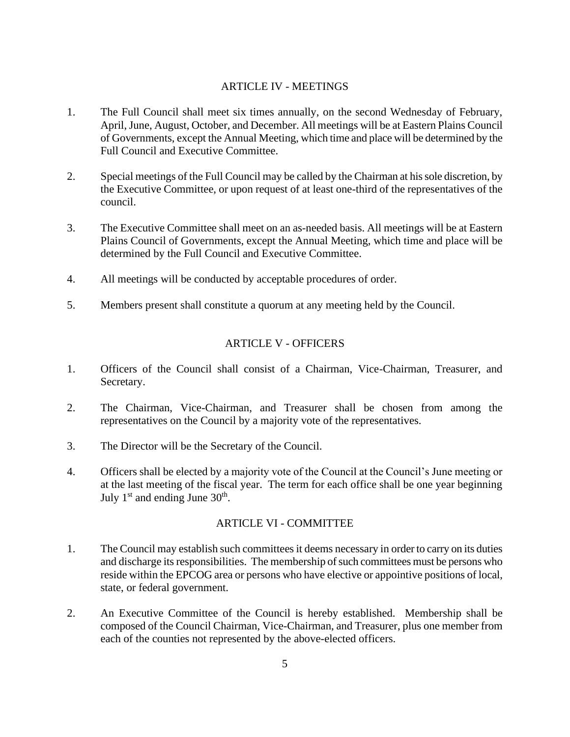## ARTICLE IV - MEETINGS

- 1. The Full Council shall meet six times annually, on the second Wednesday of February, April, June, August, October, and December. All meetings will be at Eastern Plains Council of Governments, except the Annual Meeting, which time and place will be determined by the Full Council and Executive Committee.
- 2. Special meetings of the Full Council may be called by the Chairman at his sole discretion, by the Executive Committee, or upon request of at least one-third of the representatives of the council.
- 3. The Executive Committee shall meet on an as-needed basis. All meetings will be at Eastern Plains Council of Governments, except the Annual Meeting, which time and place will be determined by the Full Council and Executive Committee.
- 4. All meetings will be conducted by acceptable procedures of order.
- 5. Members present shall constitute a quorum at any meeting held by the Council.

# ARTICLE V - OFFICERS

- 1. Officers of the Council shall consist of a Chairman, Vice-Chairman, Treasurer, and Secretary.
- 2. The Chairman, Vice-Chairman, and Treasurer shall be chosen from among the representatives on the Council by a majority vote of the representatives.
- 3. The Director will be the Secretary of the Council.
- 4. Officers shall be elected by a majority vote of the Council at the Council's June meeting or at the last meeting of the fiscal year. The term for each office shall be one year beginning July  $1<sup>st</sup>$  and ending June  $30<sup>th</sup>$ .

#### ARTICLE VI - COMMITTEE

- 1. The Council may establish such committees it deems necessary in order to carry on its duties and discharge its responsibilities. The membership of such committees must be persons who reside within the EPCOG area or persons who have elective or appointive positions of local, state, or federal government.
- 2. An Executive Committee of the Council is hereby established. Membership shall be composed of the Council Chairman, Vice-Chairman, and Treasurer, plus one member from each of the counties not represented by the above-elected officers.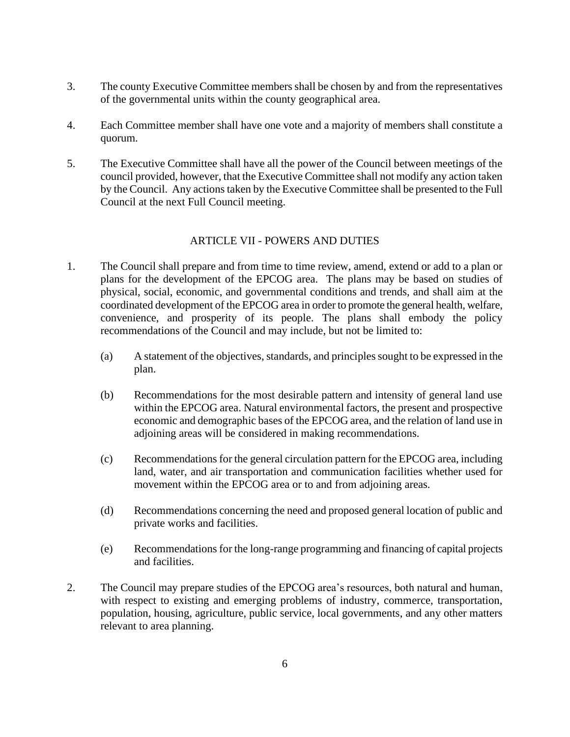- 3. The county Executive Committee members shall be chosen by and from the representatives of the governmental units within the county geographical area.
- 4. Each Committee member shall have one vote and a majority of members shall constitute a quorum.
- 5. The Executive Committee shall have all the power of the Council between meetings of the council provided, however, that the Executive Committee shall not modify any action taken by the Council. Any actions taken by the Executive Committee shall be presented to the Full Council at the next Full Council meeting.

## ARTICLE VII - POWERS AND DUTIES

- 1. The Council shall prepare and from time to time review, amend, extend or add to a plan or plans for the development of the EPCOG area. The plans may be based on studies of physical, social, economic, and governmental conditions and trends, and shall aim at the coordinated development of the EPCOG area in order to promote the general health, welfare, convenience, and prosperity of its people. The plans shall embody the policy recommendations of the Council and may include, but not be limited to:
	- (a) A statement of the objectives, standards, and principles sought to be expressed in the plan.
	- (b) Recommendations for the most desirable pattern and intensity of general land use within the EPCOG area. Natural environmental factors, the present and prospective economic and demographic bases of the EPCOG area, and the relation of land use in adjoining areas will be considered in making recommendations.
	- (c) Recommendations for the general circulation pattern for the EPCOG area, including land, water, and air transportation and communication facilities whether used for movement within the EPCOG area or to and from adjoining areas.
	- (d) Recommendations concerning the need and proposed general location of public and private works and facilities.
	- (e) Recommendations for the long-range programming and financing of capital projects and facilities.
- 2. The Council may prepare studies of the EPCOG area's resources, both natural and human, with respect to existing and emerging problems of industry, commerce, transportation, population, housing, agriculture, public service, local governments, and any other matters relevant to area planning.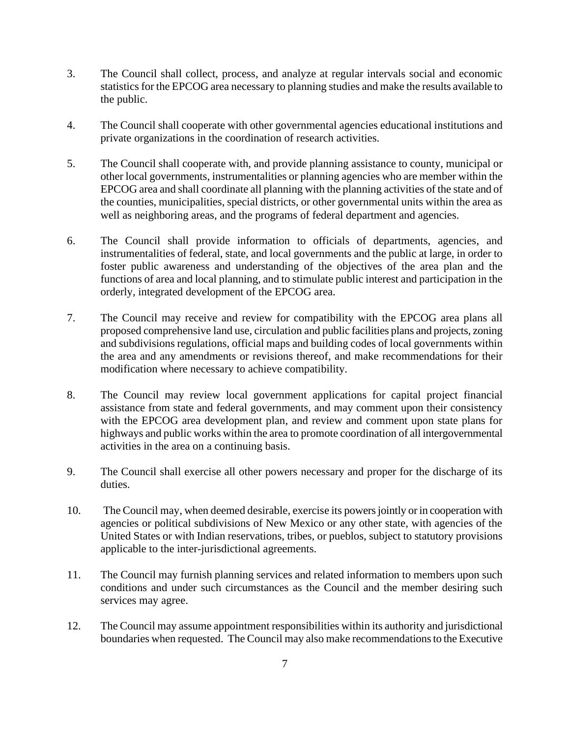- 3. The Council shall collect, process, and analyze at regular intervals social and economic statistics for the EPCOG area necessary to planning studies and make the results available to the public.
- 4. The Council shall cooperate with other governmental agencies educational institutions and private organizations in the coordination of research activities.
- 5. The Council shall cooperate with, and provide planning assistance to county, municipal or other local governments, instrumentalities or planning agencies who are member within the EPCOG area and shall coordinate all planning with the planning activities of the state and of the counties, municipalities, special districts, or other governmental units within the area as well as neighboring areas, and the programs of federal department and agencies.
- 6. The Council shall provide information to officials of departments, agencies, and instrumentalities of federal, state, and local governments and the public at large, in order to foster public awareness and understanding of the objectives of the area plan and the functions of area and local planning, and to stimulate public interest and participation in the orderly, integrated development of the EPCOG area.
- 7. The Council may receive and review for compatibility with the EPCOG area plans all proposed comprehensive land use, circulation and public facilities plans and projects, zoning and subdivisions regulations, official maps and building codes of local governments within the area and any amendments or revisions thereof, and make recommendations for their modification where necessary to achieve compatibility.
- 8. The Council may review local government applications for capital project financial assistance from state and federal governments, and may comment upon their consistency with the EPCOG area development plan, and review and comment upon state plans for highways and public works within the area to promote coordination of all intergovernmental activities in the area on a continuing basis.
- 9. The Council shall exercise all other powers necessary and proper for the discharge of its duties.
- 10. The Council may, when deemed desirable, exercise its powers jointly or in cooperation with agencies or political subdivisions of New Mexico or any other state, with agencies of the United States or with Indian reservations, tribes, or pueblos, subject to statutory provisions applicable to the inter-jurisdictional agreements.
- 11. The Council may furnish planning services and related information to members upon such conditions and under such circumstances as the Council and the member desiring such services may agree.
- 12. The Council may assume appointment responsibilities within its authority and jurisdictional boundaries when requested. The Council may also make recommendations to the Executive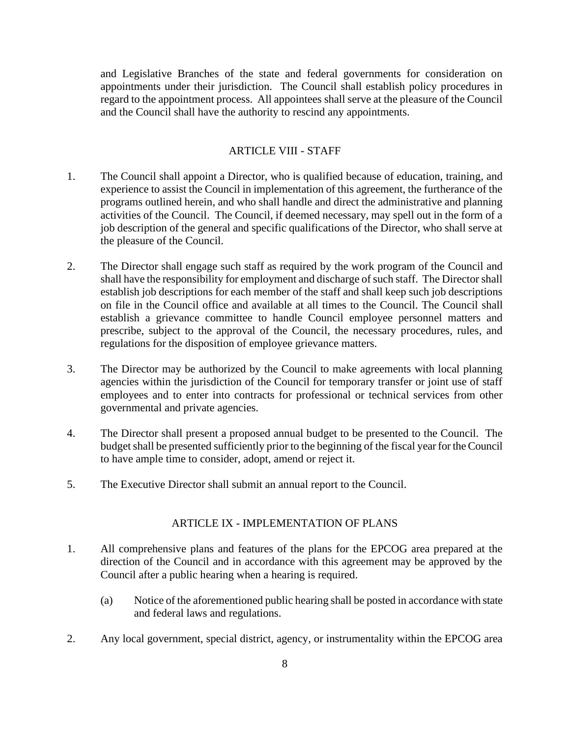and Legislative Branches of the state and federal governments for consideration on appointments under their jurisdiction. The Council shall establish policy procedures in regard to the appointment process. All appointees shall serve at the pleasure of the Council and the Council shall have the authority to rescind any appointments.

#### ARTICLE VIII - STAFF

- 1. The Council shall appoint a Director, who is qualified because of education, training, and experience to assist the Council in implementation of this agreement, the furtherance of the programs outlined herein, and who shall handle and direct the administrative and planning activities of the Council. The Council, if deemed necessary, may spell out in the form of a job description of the general and specific qualifications of the Director, who shall serve at the pleasure of the Council.
- 2. The Director shall engage such staff as required by the work program of the Council and shall have the responsibility for employment and discharge of such staff. The Director shall establish job descriptions for each member of the staff and shall keep such job descriptions on file in the Council office and available at all times to the Council. The Council shall establish a grievance committee to handle Council employee personnel matters and prescribe, subject to the approval of the Council, the necessary procedures, rules, and regulations for the disposition of employee grievance matters.
- 3. The Director may be authorized by the Council to make agreements with local planning agencies within the jurisdiction of the Council for temporary transfer or joint use of staff employees and to enter into contracts for professional or technical services from other governmental and private agencies.
- 4. The Director shall present a proposed annual budget to be presented to the Council. The budget shall be presented sufficiently prior to the beginning of the fiscal year for the Council to have ample time to consider, adopt, amend or reject it.
- 5. The Executive Director shall submit an annual report to the Council.

#### ARTICLE IX - IMPLEMENTATION OF PLANS

- 1. All comprehensive plans and features of the plans for the EPCOG area prepared at the direction of the Council and in accordance with this agreement may be approved by the Council after a public hearing when a hearing is required.
	- (a) Notice of the aforementioned public hearing shall be posted in accordance with state and federal laws and regulations.
- 2. Any local government, special district, agency, or instrumentality within the EPCOG area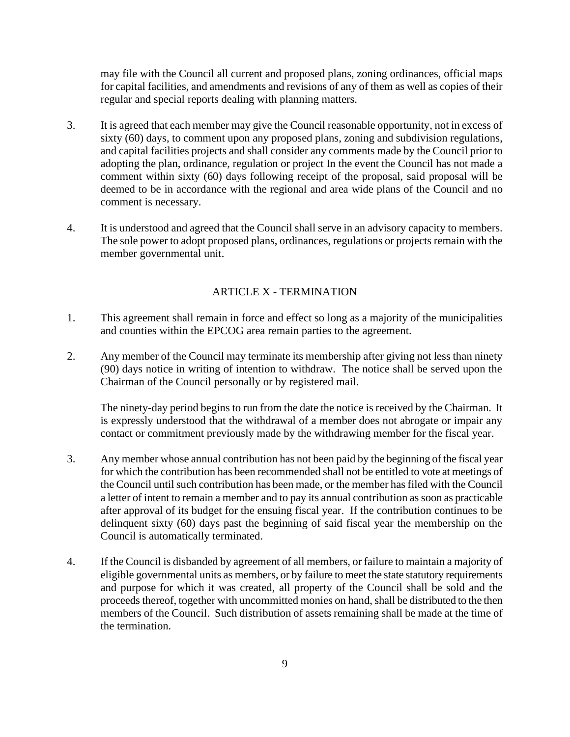may file with the Council all current and proposed plans, zoning ordinances, official maps for capital facilities, and amendments and revisions of any of them as well as copies of their regular and special reports dealing with planning matters.

- 3. It is agreed that each member may give the Council reasonable opportunity, not in excess of sixty (60) days, to comment upon any proposed plans, zoning and subdivision regulations, and capital facilities projects and shall consider any comments made by the Council prior to adopting the plan, ordinance, regulation or project In the event the Council has not made a comment within sixty (60) days following receipt of the proposal, said proposal will be deemed to be in accordance with the regional and area wide plans of the Council and no comment is necessary.
- 4. It is understood and agreed that the Council shall serve in an advisory capacity to members. The sole power to adopt proposed plans, ordinances, regulations or projects remain with the member governmental unit.

# ARTICLE X - TERMINATION

- 1. This agreement shall remain in force and effect so long as a majority of the municipalities and counties within the EPCOG area remain parties to the agreement.
- 2. Any member of the Council may terminate its membership after giving not less than ninety (90) days notice in writing of intention to withdraw. The notice shall be served upon the Chairman of the Council personally or by registered mail.

The ninety-day period begins to run from the date the notice is received by the Chairman. It is expressly understood that the withdrawal of a member does not abrogate or impair any contact or commitment previously made by the withdrawing member for the fiscal year.

- 3. Any member whose annual contribution has not been paid by the beginning of the fiscal year for which the contribution has been recommended shall not be entitled to vote at meetings of the Council until such contribution has been made, or the member has filed with the Council a letter of intent to remain a member and to pay its annual contribution as soon as practicable after approval of its budget for the ensuing fiscal year. If the contribution continues to be delinquent sixty (60) days past the beginning of said fiscal year the membership on the Council is automatically terminated.
- 4. If the Council is disbanded by agreement of all members, or failure to maintain a majority of eligible governmental units as members, or by failure to meet the state statutory requirements and purpose for which it was created, all property of the Council shall be sold and the proceeds thereof, together with uncommitted monies on hand, shall be distributed to the then members of the Council. Such distribution of assets remaining shall be made at the time of the termination.